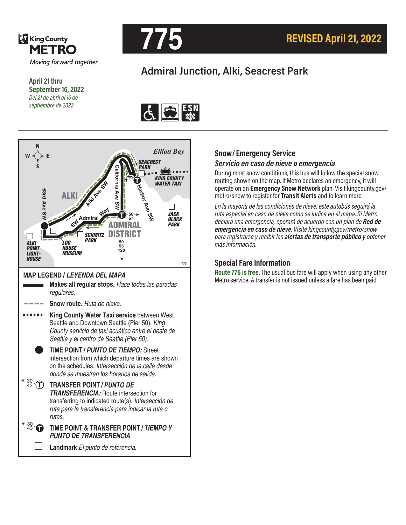

**King County** 

**METRO** 



# **Admiral Junction, Alki, Seacrest Park**



775

#### **Snow/ Emergency Service**  *Servicio en caso de nieve o emergencia*

During most snow conditions, this bus will follow the special snow routing shown on the map. If Metro declares an emergency, it will operate on an **Emergency Snow Network** plan. Visit kingcounty.gov/ metro/snow to register for **Transit Alerts** and to learn more.

*En la mayoría de las condiciones de nieve, este autobús seguirá la ruta especial en caso de nieve como se indica en el mapa. Si Metro declara una emergencia, operará de acuerdo con un plan de Red de emergencia en caso de nieve. Visite kingcounty.gov/metro/snow para registrarse y recibir las alertas de transporte público y obtener más información.*

#### **Special Fare Information**

**Route 775 is free.** The usual bus fare will apply when using any other Metro service. A transfer is not issued unless a fare has been paid.